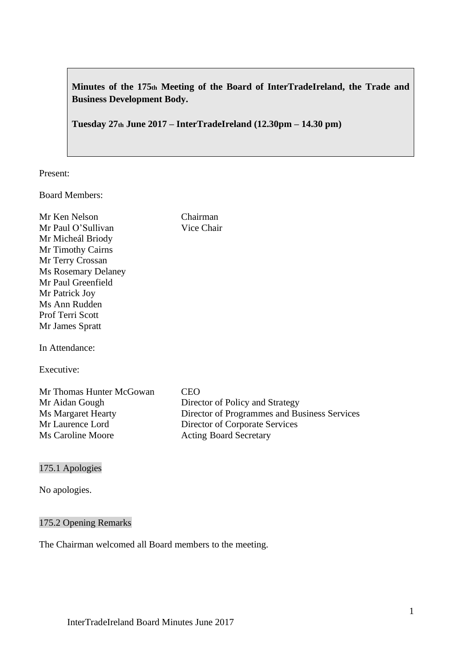**Minutes of the 175th Meeting of the Board of InterTradeIreland, the Trade and Business Development Body.**

**Tuesday 27th June 2017 – InterTradeIreland (12.30pm – 14.30 pm)**

Present:

Board Members:

Mr Ken Nelson Chairman Mr Paul O'Sullivan Vice Chair Mr Micheál Briody Mr Timothy Cairns Mr Terry Crossan Ms Rosemary Delaney Mr Paul Greenfield Mr Patrick Joy Ms Ann Rudden Prof Terri Scott Mr James Spratt

In Attendance:

Executive:

| Mr Thomas Hunter McGowan | CEO.                                         |
|--------------------------|----------------------------------------------|
| Mr Aidan Gough           | Director of Policy and Strategy              |
| Ms Margaret Hearty       | Director of Programmes and Business Services |
| Mr Laurence Lord         | Director of Corporate Services               |
| Ms Caroline Moore        | <b>Acting Board Secretary</b>                |

#### 175.1 Apologies

No apologies.

#### 175.2 Opening Remarks

The Chairman welcomed all Board members to the meeting.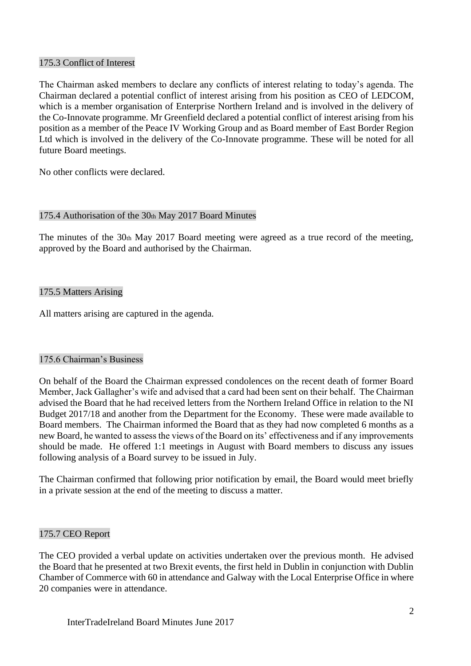### 175.3 Conflict of Interest

The Chairman asked members to declare any conflicts of interest relating to today's agenda. The Chairman declared a potential conflict of interest arising from his position as CEO of LEDCOM, which is a member organisation of Enterprise Northern Ireland and is involved in the delivery of the Co-Innovate programme. Mr Greenfield declared a potential conflict of interest arising from his position as a member of the Peace IV Working Group and as Board member of East Border Region Ltd which is involved in the delivery of the Co-Innovate programme. These will be noted for all future Board meetings.

No other conflicts were declared.

### 175.4 Authorisation of the 30th May 2017 Board Minutes

The minutes of the 30th May 2017 Board meeting were agreed as a true record of the meeting, approved by the Board and authorised by the Chairman.

# 175.5 Matters Arising

All matters arising are captured in the agenda.

#### 175.6 Chairman's Business

On behalf of the Board the Chairman expressed condolences on the recent death of former Board Member, Jack Gallagher's wife and advised that a card had been sent on their behalf. The Chairman advised the Board that he had received letters from the Northern Ireland Office in relation to the NI Budget 2017/18 and another from the Department for the Economy. These were made available to Board members. The Chairman informed the Board that as they had now completed 6 months as a new Board, he wanted to assess the views of the Board on its' effectiveness and if any improvements should be made. He offered 1:1 meetings in August with Board members to discuss any issues following analysis of a Board survey to be issued in July.

The Chairman confirmed that following prior notification by email, the Board would meet briefly in a private session at the end of the meeting to discuss a matter.

#### 175.7 CEO Report

The CEO provided a verbal update on activities undertaken over the previous month. He advised the Board that he presented at two Brexit events, the first held in Dublin in conjunction with Dublin Chamber of Commerce with 60 in attendance and Galway with the Local Enterprise Office in where 20 companies were in attendance.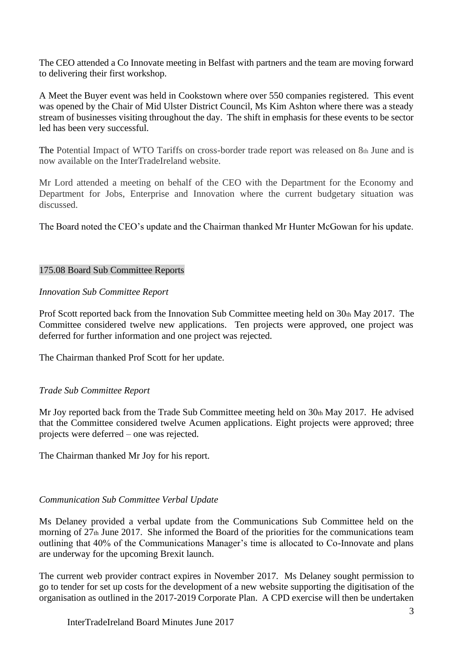The CEO attended a Co Innovate meeting in Belfast with partners and the team are moving forward to delivering their first workshop.

A Meet the Buyer event was held in Cookstown where over 550 companies registered. This event was opened by the Chair of Mid Ulster District Council, Ms Kim Ashton where there was a steady stream of businesses visiting throughout the day. The shift in emphasis for these events to be sector led has been very successful.

The Potential Impact of WTO Tariffs on cross-border trade report was released on 8th June and is now available on the InterTradeIreland website.

Mr Lord attended a meeting on behalf of the CEO with the Department for the Economy and Department for Jobs, Enterprise and Innovation where the current budgetary situation was discussed.

The Board noted the CEO's update and the Chairman thanked Mr Hunter McGowan for his update.

#### 175.08 Board Sub Committee Reports

### *Innovation Sub Committee Report*

Prof Scott reported back from the Innovation Sub Committee meeting held on 30th May 2017. The Committee considered twelve new applications. Ten projects were approved, one project was deferred for further information and one project was rejected.

The Chairman thanked Prof Scott for her update.

# *Trade Sub Committee Report*

Mr Joy reported back from the Trade Sub Committee meeting held on 30th May 2017. He advised that the Committee considered twelve Acumen applications. Eight projects were approved; three projects were deferred – one was rejected.

The Chairman thanked Mr Joy for his report.

# *Communication Sub Committee Verbal Update*

Ms Delaney provided a verbal update from the Communications Sub Committee held on the morning of 27<sup>th</sup> June 2017. She informed the Board of the priorities for the communications team outlining that 40% of the Communications Manager's time is allocated to Co-Innovate and plans are underway for the upcoming Brexit launch.

The current web provider contract expires in November 2017. Ms Delaney sought permission to go to tender for set up costs for the development of a new website supporting the digitisation of the organisation as outlined in the 2017-2019 Corporate Plan. A CPD exercise will then be undertaken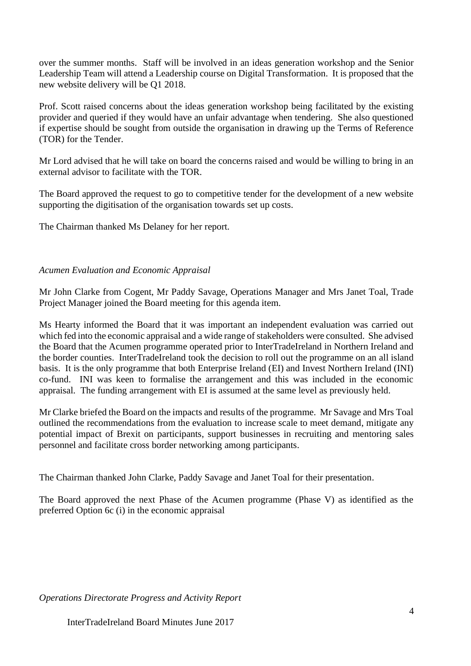over the summer months. Staff will be involved in an ideas generation workshop and the Senior Leadership Team will attend a Leadership course on Digital Transformation. It is proposed that the new website delivery will be Q1 2018.

Prof. Scott raised concerns about the ideas generation workshop being facilitated by the existing provider and queried if they would have an unfair advantage when tendering. She also questioned if expertise should be sought from outside the organisation in drawing up the Terms of Reference (TOR) for the Tender.

Mr Lord advised that he will take on board the concerns raised and would be willing to bring in an external advisor to facilitate with the TOR.

The Board approved the request to go to competitive tender for the development of a new website supporting the digitisation of the organisation towards set up costs.

The Chairman thanked Ms Delaney for her report.

#### *Acumen Evaluation and Economic Appraisal*

Mr John Clarke from Cogent, Mr Paddy Savage, Operations Manager and Mrs Janet Toal, Trade Project Manager joined the Board meeting for this agenda item.

Ms Hearty informed the Board that it was important an independent evaluation was carried out which fed into the economic appraisal and a wide range of stakeholders were consulted. She advised the Board that the Acumen programme operated prior to InterTradeIreland in Northern Ireland and the border counties. InterTradeIreland took the decision to roll out the programme on an all island basis. It is the only programme that both Enterprise Ireland (EI) and Invest Northern Ireland (INI) co-fund. INI was keen to formalise the arrangement and this was included in the economic appraisal. The funding arrangement with EI is assumed at the same level as previously held.

Mr Clarke briefed the Board on the impacts and results of the programme. Mr Savage and Mrs Toal outlined the recommendations from the evaluation to increase scale to meet demand, mitigate any potential impact of Brexit on participants, support businesses in recruiting and mentoring sales personnel and facilitate cross border networking among participants.

The Chairman thanked John Clarke, Paddy Savage and Janet Toal for their presentation.

The Board approved the next Phase of the Acumen programme (Phase V) as identified as the preferred Option 6c (i) in the economic appraisal

*Operations Directorate Progress and Activity Report*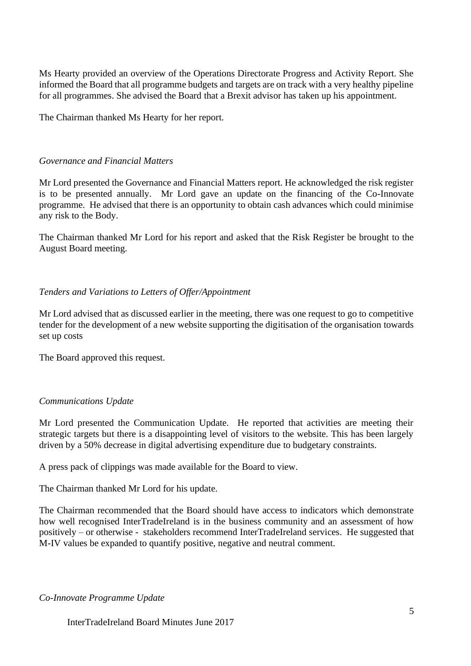Ms Hearty provided an overview of the Operations Directorate Progress and Activity Report. She informed the Board that all programme budgets and targets are on track with a very healthy pipeline for all programmes. She advised the Board that a Brexit advisor has taken up his appointment.

The Chairman thanked Ms Hearty for her report.

### *Governance and Financial Matters*

Mr Lord presented the Governance and Financial Matters report. He acknowledged the risk register is to be presented annually. Mr Lord gave an update on the financing of the Co-Innovate programme. He advised that there is an opportunity to obtain cash advances which could minimise any risk to the Body.

The Chairman thanked Mr Lord for his report and asked that the Risk Register be brought to the August Board meeting.

# *Tenders and Variations to Letters of Offer/Appointment*

Mr Lord advised that as discussed earlier in the meeting, there was one request to go to competitive tender for the development of a new website supporting the digitisation of the organisation towards set up costs

The Board approved this request.

# *Communications Update*

Mr Lord presented the Communication Update. He reported that activities are meeting their strategic targets but there is a disappointing level of visitors to the website. This has been largely driven by a 50% decrease in digital advertising expenditure due to budgetary constraints.

A press pack of clippings was made available for the Board to view.

The Chairman thanked Mr Lord for his update.

The Chairman recommended that the Board should have access to indicators which demonstrate how well recognised InterTradeIreland is in the business community and an assessment of how positively – or otherwise - stakeholders recommend InterTradeIreland services. He suggested that M-IV values be expanded to quantify positive, negative and neutral comment.

#### *Co-Innovate Programme Update*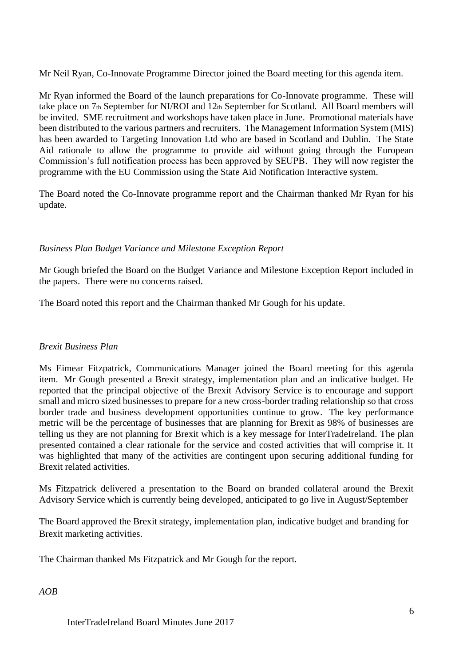Mr Neil Ryan, Co-Innovate Programme Director joined the Board meeting for this agenda item.

Mr Ryan informed the Board of the launch preparations for Co-Innovate programme. These will take place on 7th September for NI/ROI and 12th September for Scotland. All Board members will be invited. SME recruitment and workshops have taken place in June. Promotional materials have been distributed to the various partners and recruiters. The Management Information System (MIS) has been awarded to Targeting Innovation Ltd who are based in Scotland and Dublin. The State Aid rationale to allow the programme to provide aid without going through the European Commission's full notification process has been approved by SEUPB. They will now register the programme with the EU Commission using the State Aid Notification Interactive system.

The Board noted the Co-Innovate programme report and the Chairman thanked Mr Ryan for his update.

# *Business Plan Budget Variance and Milestone Exception Report*

Mr Gough briefed the Board on the Budget Variance and Milestone Exception Report included in the papers. There were no concerns raised.

The Board noted this report and the Chairman thanked Mr Gough for his update.

# *Brexit Business Plan*

Ms Eimear Fitzpatrick, Communications Manager joined the Board meeting for this agenda item. Mr Gough presented a Brexit strategy, implementation plan and an indicative budget. He reported that the principal objective of the Brexit Advisory Service is to encourage and support small and micro sized businesses to prepare for a new cross-border trading relationship so that cross border trade and business development opportunities continue to grow. The key performance metric will be the percentage of businesses that are planning for Brexit as 98% of businesses are telling us they are not planning for Brexit which is a key message for InterTradeIreland. The plan presented contained a clear rationale for the service and costed activities that will comprise it. It was highlighted that many of the activities are contingent upon securing additional funding for Brexit related activities.

Ms Fitzpatrick delivered a presentation to the Board on branded collateral around the Brexit Advisory Service which is currently being developed, anticipated to go live in August/September

The Board approved the Brexit strategy, implementation plan, indicative budget and branding for Brexit marketing activities.

The Chairman thanked Ms Fitzpatrick and Mr Gough for the report.

*AOB*